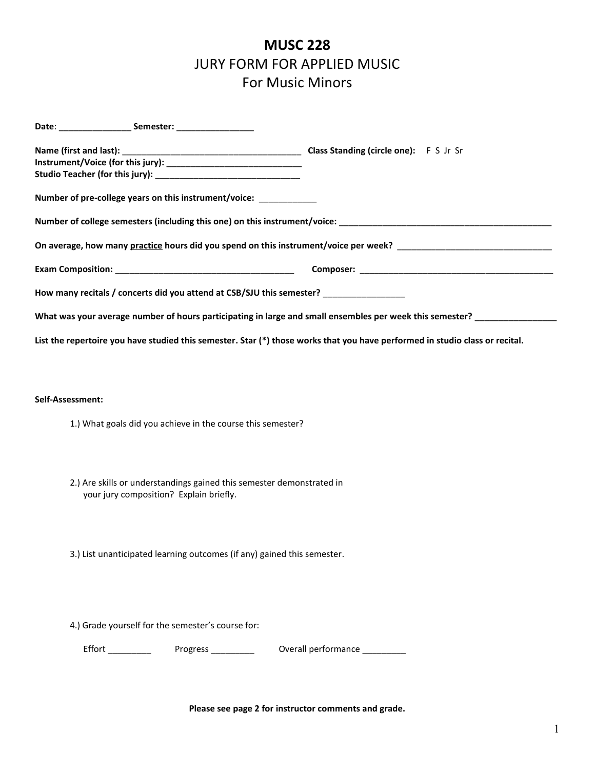## **MUSC 228** JURY FORM FOR APPLIED MUSIC For Music Minors

|  | Number of pre-college years on this instrument/voice: _____________   |                                                                                                                              |
|--|-----------------------------------------------------------------------|------------------------------------------------------------------------------------------------------------------------------|
|  |                                                                       | Number of college semesters (including this one) on this instrument/voice: Names are also also also also also                |
|  |                                                                       |                                                                                                                              |
|  |                                                                       |                                                                                                                              |
|  | How many recitals / concerts did you attend at CSB/SJU this semester? |                                                                                                                              |
|  |                                                                       | What was your average number of hours participating in large and small ensembles per week this semester?                     |
|  |                                                                       | List the repertoire you have studied this semester. Star (*) those works that you have performed in studio class or recital. |
|  |                                                                       |                                                                                                                              |
|  | Self-Assessment:                                                      |                                                                                                                              |
|  |                                                                       |                                                                                                                              |
|  | 1.) What goals did you achieve in the course this semester?           |                                                                                                                              |
|  | 2.) Are skills or understandings gained this semester demonstrated in |                                                                                                                              |
|  | your jury composition? Explain briefly.                               |                                                                                                                              |
|  |                                                                       |                                                                                                                              |

3.) List unanticipated learning outcomes (if any) gained this semester.

4.) Grade yourself for the semester's course for:

Effort \_\_\_\_\_\_\_\_\_\_\_ Progress \_\_\_\_\_\_\_\_\_\_ Overall performance \_\_\_\_\_\_\_\_\_\_

**Please see page 2 for instructor comments and grade.**